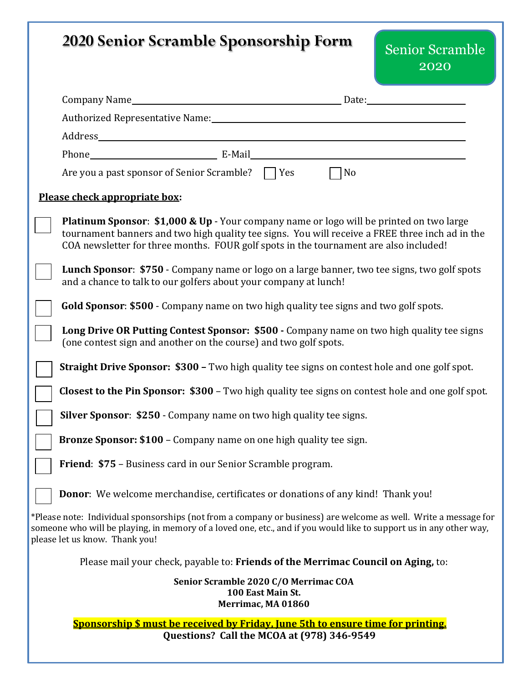| <b>2020 Senior Scramble Sponsorship Form</b><br><b>Senior Scramble</b><br>2020                                                                                                                                                                                                                 |
|------------------------------------------------------------------------------------------------------------------------------------------------------------------------------------------------------------------------------------------------------------------------------------------------|
| Company Name Date: Date:                                                                                                                                                                                                                                                                       |
|                                                                                                                                                                                                                                                                                                |
|                                                                                                                                                                                                                                                                                                |
|                                                                                                                                                                                                                                                                                                |
| Are you a past sponsor of Senior Scramble?   Yes<br>N <sub>o</sub>                                                                                                                                                                                                                             |
| Please check appropriate box:                                                                                                                                                                                                                                                                  |
| <b>Platinum Sponsor: \$1,000 &amp; Up</b> - Your company name or logo will be printed on two large<br>tournament banners and two high quality tee signs. You will receive a FREE three inch ad in the<br>COA newsletter for three months. FOUR golf spots in the tournament are also included! |
| Lunch Sponsor: \$750 - Company name or logo on a large banner, two tee signs, two golf spots<br>and a chance to talk to our golfers about your company at lunch!                                                                                                                               |
| Gold Sponsor: \$500 - Company name on two high quality tee signs and two golf spots.                                                                                                                                                                                                           |
| Long Drive OR Putting Contest Sponsor: \$500 - Company name on two high quality tee signs<br>(one contest sign and another on the course) and two golf spots.                                                                                                                                  |
| <b>Straight Drive Sponsor: \$300 - Two high quality tee signs on contest hole and one golf spot.</b>                                                                                                                                                                                           |
| <b>Closest to the Pin Sponsor: \$300</b> – Two high quality tee signs on contest hole and one golf spot.                                                                                                                                                                                       |
| <b>Silver Sponsor: \$250 - Company name on two high quality tee signs.</b>                                                                                                                                                                                                                     |
| <b>Bronze Sponsor: \$100 - Company name on one high quality tee sign.</b>                                                                                                                                                                                                                      |
| Friend: \$75 - Business card in our Senior Scramble program.                                                                                                                                                                                                                                   |
| Donor: We welcome merchandise, certificates or donations of any kind! Thank you!                                                                                                                                                                                                               |
| *Please note: Individual sponsorships (not from a company or business) are welcome as well. Write a message for<br>someone who will be playing, in memory of a loved one, etc., and if you would like to support us in any other way,<br>please let us know. Thank you!                        |
| Please mail your check, payable to: Friends of the Merrimac Council on Aging, to:                                                                                                                                                                                                              |
| Senior Scramble 2020 C/O Merrimac COA<br>100 East Main St.<br>Merrimac, MA 01860                                                                                                                                                                                                               |
| <b>Sponsorship \$ must be received by Friday, June 5th to ensure time for printing.</b><br>Questions? Call the MCOA at (978) 346-9549                                                                                                                                                          |